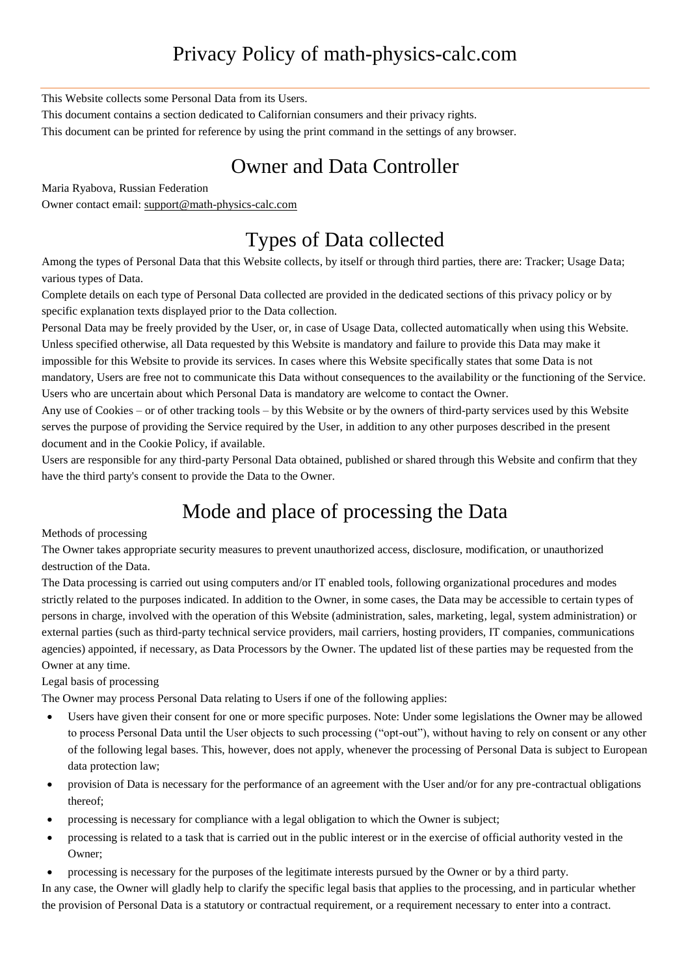## Privacy Policy of math-physics-calc.com

This Website collects some Personal Data from its Users.

This document contains a section dedicated to Californian consumers and their privacy rights.

This document can be printed for reference by using the print command in the settings of any browser.

### Owner and Data Controller

Maria Ryabova, Russian Federation

Owner contact email: [support@math-physics-calc.com](mailto:support@math-physics-calc.com)

## Types of Data collected

Among the types of Personal Data that this Website collects, by itself or through third parties, there are: Tracker; Usage Data; various types of Data.

Complete details on each type of Personal Data collected are provided in the dedicated sections of this privacy policy or by specific explanation texts displayed prior to the Data collection.

Personal Data may be freely provided by the User, or, in case of Usage Data, collected automatically when using this Website. Unless specified otherwise, all Data requested by this Website is mandatory and failure to provide this Data may make it impossible for this Website to provide its services. In cases where this Website specifically states that some Data is not mandatory, Users are free not to communicate this Data without consequences to the availability or the functioning of the Service. Users who are uncertain about which Personal Data is mandatory are welcome to contact the Owner.

Any use of Cookies – or of other tracking tools – by this Website or by the owners of third-party services used by this Website serves the purpose of providing the Service required by the User, in addition to any other purposes described in the present document and in the Cookie Policy, if available.

Users are responsible for any third-party Personal Data obtained, published or shared through this Website and confirm that they have the third party's consent to provide the Data to the Owner.

# Mode and place of processing the Data

#### Methods of processing

The Owner takes appropriate security measures to prevent unauthorized access, disclosure, modification, or unauthorized destruction of the Data.

The Data processing is carried out using computers and/or IT enabled tools, following organizational procedures and modes strictly related to the purposes indicated. In addition to the Owner, in some cases, the Data may be accessible to certain types of persons in charge, involved with the operation of this Website (administration, sales, marketing, legal, system administration) or external parties (such as third-party technical service providers, mail carriers, hosting providers, IT companies, communications agencies) appointed, if necessary, as Data Processors by the Owner. The updated list of these parties may be requested from the Owner at any time.

Legal basis of processing

The Owner may process Personal Data relating to Users if one of the following applies:

- Users have given their consent for one or more specific purposes. Note: Under some legislations the Owner may be allowed to process Personal Data until the User objects to such processing ("opt-out"), without having to rely on consent or any other of the following legal bases. This, however, does not apply, whenever the processing of Personal Data is subject to European data protection law;
- provision of Data is necessary for the performance of an agreement with the User and/or for any pre-contractual obligations thereof;
- processing is necessary for compliance with a legal obligation to which the Owner is subject;
- processing is related to a task that is carried out in the public interest or in the exercise of official authority vested in the Owner;
- processing is necessary for the purposes of the legitimate interests pursued by the Owner or by a third party.

In any case, the Owner will gladly help to clarify the specific legal basis that applies to the processing, and in particular whether the provision of Personal Data is a statutory or contractual requirement, or a requirement necessary to enter into a contract.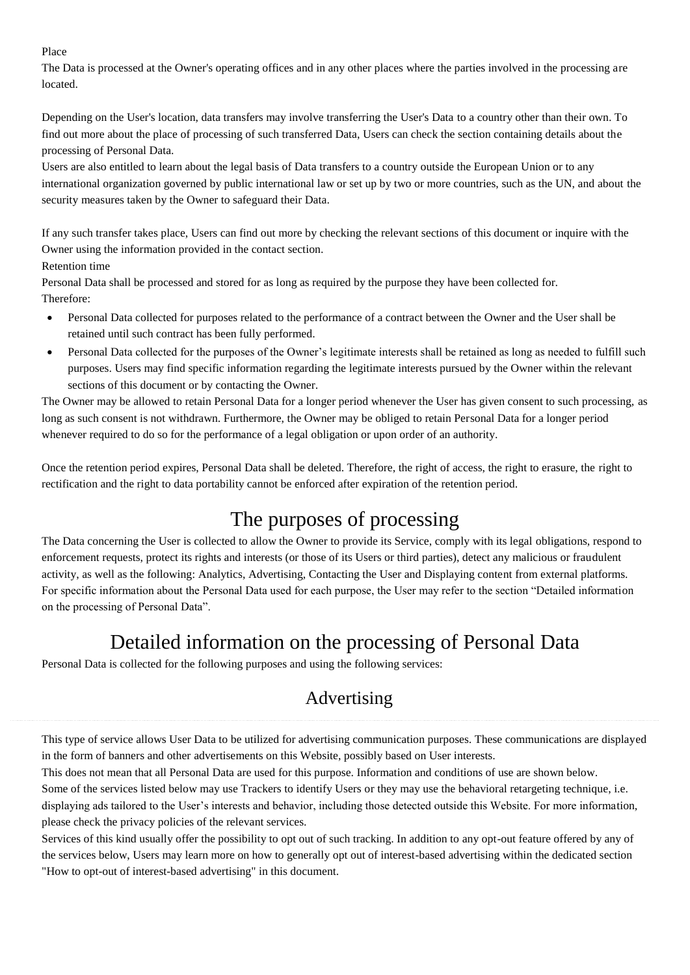#### Place

The Data is processed at the Owner's operating offices and in any other places where the parties involved in the processing are located.

Depending on the User's location, data transfers may involve transferring the User's Data to a country other than their own. To find out more about the place of processing of such transferred Data, Users can check the section containing details about the processing of Personal Data.

Users are also entitled to learn about the legal basis of Data transfers to a country outside the European Union or to any international organization governed by public international law or set up by two or more countries, such as the UN, and about the security measures taken by the Owner to safeguard their Data.

If any such transfer takes place, Users can find out more by checking the relevant sections of this document or inquire with the Owner using the information provided in the contact section.

Retention time

Personal Data shall be processed and stored for as long as required by the purpose they have been collected for. Therefore:

- Personal Data collected for purposes related to the performance of a contract between the Owner and the User shall be retained until such contract has been fully performed.
- Personal Data collected for the purposes of the Owner's legitimate interests shall be retained as long as needed to fulfill such purposes. Users may find specific information regarding the legitimate interests pursued by the Owner within the relevant sections of this document or by contacting the Owner.

The Owner may be allowed to retain Personal Data for a longer period whenever the User has given consent to such processing, as long as such consent is not withdrawn. Furthermore, the Owner may be obliged to retain Personal Data for a longer period whenever required to do so for the performance of a legal obligation or upon order of an authority.

Once the retention period expires, Personal Data shall be deleted. Therefore, the right of access, the right to erasure, the right to rectification and the right to data portability cannot be enforced after expiration of the retention period.

# The purposes of processing

The Data concerning the User is collected to allow the Owner to provide its Service, comply with its legal obligations, respond to enforcement requests, protect its rights and interests (or those of its Users or third parties), detect any malicious or fraudulent activity, as well as the following: Analytics, Advertising, Contacting the User and Displaying content from external platforms. For specific information about the Personal Data used for each purpose, the User may refer to the section "Detailed information on the processing of Personal Data".

## Detailed information on the processing of Personal Data

Personal Data is collected for the following purposes and using the following services:

## Advertising

This type of service allows User Data to be utilized for advertising communication purposes. These communications are displayed in the form of banners and other advertisements on this Website, possibly based on User interests.

This does not mean that all Personal Data are used for this purpose. Information and conditions of use are shown below. Some of the services listed below may use Trackers to identify Users or they may use the behavioral retargeting technique, i.e. displaying ads tailored to the User's interests and behavior, including those detected outside this Website. For more information, please check the privacy policies of the relevant services.

Services of this kind usually offer the possibility to opt out of such tracking. In addition to any opt-out feature offered by any of the services below, Users may learn more on how to generally opt out of interest-based advertising within the dedicated section "How to opt-out of interest-based advertising" in this document.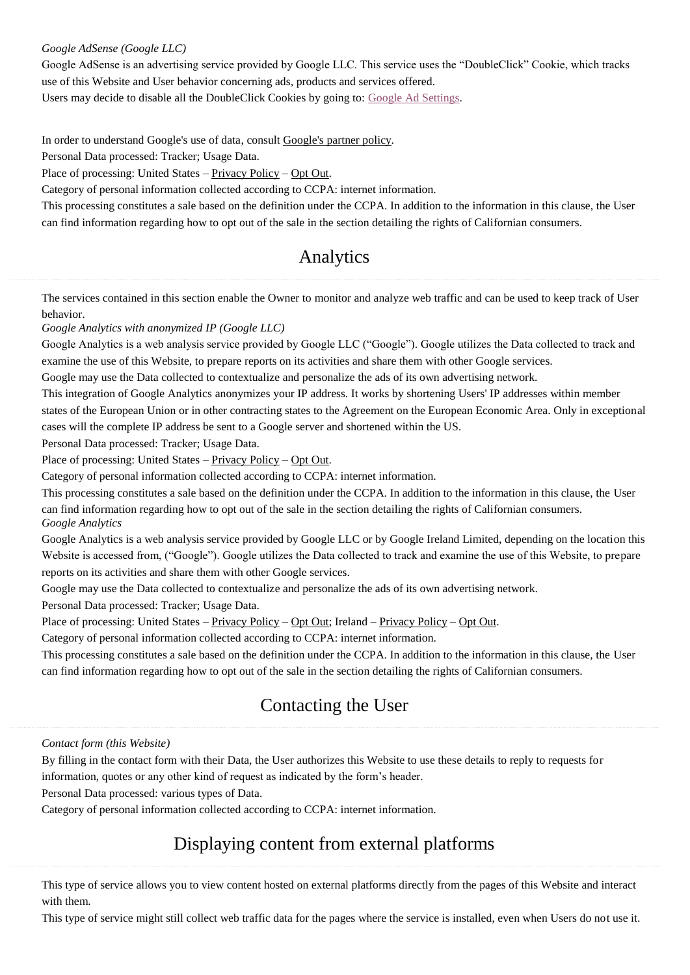#### *Google AdSense (Google LLC)*

Google AdSense is an advertising service provided by Google LLC. This service uses the "DoubleClick" Cookie, which tracks use of this Website and User behavior concerning ads, products and services offered.

Users may decide to disable all the DoubleClick Cookies by going to: Google Ad [Settings.](https://adssettings.google.com/authenticated?hl=en)

In order to understand Google's use of data, consult [Google's](https://policies.google.com/technologies/partner-sites) partner policy.

Personal Data processed: Tracker; Usage Data.

Place of processing: United States – [Privacy](https://policies.google.com/privacy) Policy – Opt [Out.](https://adssettings.google.com/authenticated)

Category of personal information collected according to CCPA: internet information.

This processing constitutes a sale based on the definition under the CCPA. In addition to the information in this clause, the User can find information regarding how to opt out of the sale in the section detailing the rights of Californian consumers.

### Analytics

The services contained in this section enable the Owner to monitor and analyze web traffic and can be used to keep track of User behavior.

*Google Analytics with anonymized IP (Google LLC)*

Google Analytics is a web analysis service provided by Google LLC ("Google"). Google utilizes the Data collected to track and examine the use of this Website, to prepare reports on its activities and share them with other Google services.

Google may use the Data collected to contextualize and personalize the ads of its own advertising network.

This integration of Google Analytics anonymizes your IP address. It works by shortening Users' IP addresses within member states of the European Union or in other contracting states to the Agreement on the European Economic Area. Only in exceptional cases will the complete IP address be sent to a Google server and shortened within the US.

Personal Data processed: Tracker; Usage Data.

Place of processing: United States – [Privacy](https://policies.google.com/privacy) Policy – Opt [Out.](https://tools.google.com/dlpage/gaoptout?hl=en)

Category of personal information collected according to CCPA: internet information.

This processing constitutes a sale based on the definition under the CCPA. In addition to the information in this clause, the User can find information regarding how to opt out of the sale in the section detailing the rights of Californian consumers. *Google Analytics*

Google Analytics is a web analysis service provided by Google LLC or by Google Ireland Limited, depending on the location this Website is accessed from, ("Google"). Google utilizes the Data collected to track and examine the use of this Website, to prepare reports on its activities and share them with other Google services.

Google may use the Data collected to contextualize and personalize the ads of its own advertising network.

Personal Data processed: Tracker; Usage Data.

Place of processing: United States – <u>[Privacy](https://policies.google.com/privacy) Policy</u> – Opt [Out;](https://tools.google.com/dlpage/gaoptout?hl=en) Ireland – Privacy Policy – Opt [Out.](https://tools.google.com/dlpage/gaoptout?hl=en)

Category of personal information collected according to CCPA: internet information.

This processing constitutes a sale based on the definition under the CCPA. In addition to the information in this clause, the User can find information regarding how to opt out of the sale in the section detailing the rights of Californian consumers.

### Contacting the User

#### *Contact form (this Website)*

By filling in the contact form with their Data, the User authorizes this Website to use these details to reply to requests for information, quotes or any other kind of request as indicated by the form's header.

Personal Data processed: various types of Data.

Category of personal information collected according to CCPA: internet information.

### Displaying content from external platforms

This type of service allows you to view content hosted on external platforms directly from the pages of this Website and interact with them.

This type of service might still collect web traffic data for the pages where the service is installed, even when Users do not use it.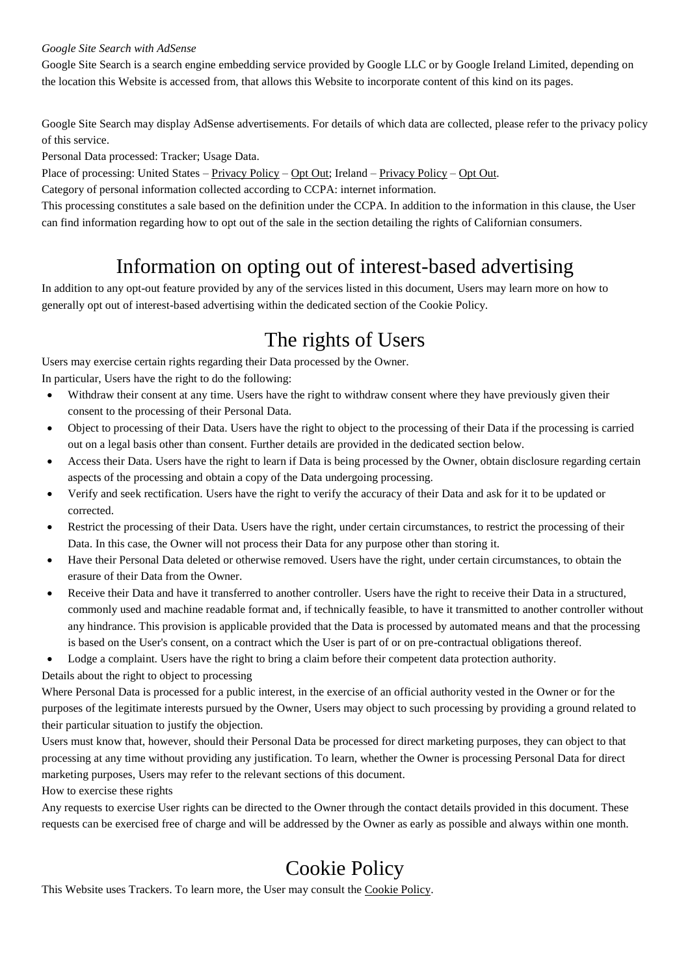#### *Google Site Search with AdSense*

Google Site Search is a search engine embedding service provided by Google LLC or by Google Ireland Limited, depending on the location this Website is accessed from, that allows this Website to incorporate content of this kind on its pages.

Google Site Search may display AdSense advertisements. For details of which data are collected, please refer to the privacy policy of this service.

Personal Data processed: Tracker; Usage Data.

Place of processing: United States – [Privacy](https://policies.google.com/privacy) Policy – Opt [Out;](https://adssettings.google.com/authenticated) Ireland – [Privacy](https://policies.google.com/privacy) Policy – Opt [Out.](https://adssettings.google.com/authenticated)

Category of personal information collected according to CCPA: internet information.

This processing constitutes a sale based on the definition under the CCPA. In addition to the information in this clause, the User can find information regarding how to opt out of the sale in the section detailing the rights of Californian consumers.

### Information on opting out of interest-based advertising

In addition to any opt-out feature provided by any of the services listed in this document, Users may learn more on how to generally opt out of interest-based advertising within the dedicated section of the Cookie Policy.

## The rights of Users

Users may exercise certain rights regarding their Data processed by the Owner.

In particular, Users have the right to do the following:

- Withdraw their consent at any time. Users have the right to withdraw consent where they have previously given their consent to the processing of their Personal Data.
- Object to processing of their Data. Users have the right to object to the processing of their Data if the processing is carried out on a legal basis other than consent. Further details are provided in the dedicated section below.
- Access their Data. Users have the right to learn if Data is being processed by the Owner, obtain disclosure regarding certain aspects of the processing and obtain a copy of the Data undergoing processing.
- Verify and seek rectification. Users have the right to verify the accuracy of their Data and ask for it to be updated or corrected.
- Restrict the processing of their Data. Users have the right, under certain circumstances, to restrict the processing of their Data. In this case, the Owner will not process their Data for any purpose other than storing it.
- Have their Personal Data deleted or otherwise removed. Users have the right, under certain circumstances, to obtain the erasure of their Data from the Owner.
- Receive their Data and have it transferred to another controller. Users have the right to receive their Data in a structured, commonly used and machine readable format and, if technically feasible, to have it transmitted to another controller without any hindrance. This provision is applicable provided that the Data is processed by automated means and that the processing is based on the User's consent, on a contract which the User is part of or on pre-contractual obligations thereof.
- Lodge a complaint. Users have the right to bring a claim before their competent data protection authority.

Details about the right to object to processing

Where Personal Data is processed for a public interest, in the exercise of an official authority vested in the Owner or for the purposes of the legitimate interests pursued by the Owner, Users may object to such processing by providing a ground related to their particular situation to justify the objection.

Users must know that, however, should their Personal Data be processed for direct marketing purposes, they can object to that processing at any time without providing any justification. To learn, whether the Owner is processing Personal Data for direct marketing purposes, Users may refer to the relevant sections of this document.

How to exercise these rights

Any requests to exercise User rights can be directed to the Owner through the contact details provided in this document. These requests can be exercised free of charge and will be addressed by the Owner as early as possible and always within one month.

## Cookie Policy

This Website uses Trackers. To learn more, the User may consult the [Cookie](https://math-physics-calc.com/cookie-policy.pdf) Policy.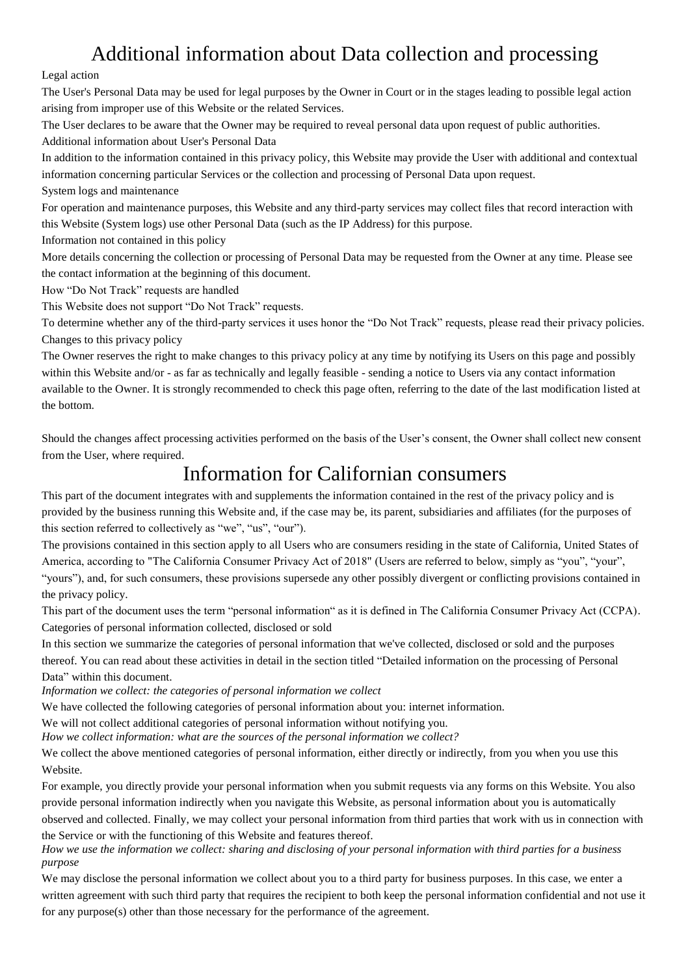### Additional information about Data collection and processing

#### Legal action

The User's Personal Data may be used for legal purposes by the Owner in Court or in the stages leading to possible legal action arising from improper use of this Website or the related Services.

The User declares to be aware that the Owner may be required to reveal personal data upon request of public authorities. Additional information about User's Personal Data

In addition to the information contained in this privacy policy, this Website may provide the User with additional and contextual information concerning particular Services or the collection and processing of Personal Data upon request.

System logs and maintenance

For operation and maintenance purposes, this Website and any third-party services may collect files that record interaction with this Website (System logs) use other Personal Data (such as the IP Address) for this purpose.

Information not contained in this policy

More details concerning the collection or processing of Personal Data may be requested from the Owner at any time. Please see the contact information at the beginning of this document.

How "Do Not Track" requests are handled

This Website does not support "Do Not Track" requests.

To determine whether any of the third-party services it uses honor the "Do Not Track" requests, please read their privacy policies. Changes to this privacy policy

The Owner reserves the right to make changes to this privacy policy at any time by notifying its Users on this page and possibly within this Website and/or - as far as technically and legally feasible - sending a notice to Users via any contact information available to the Owner. It is strongly recommended to check this page often, referring to the date of the last modification listed at the bottom.

Should the changes affect processing activities performed on the basis of the User's consent, the Owner shall collect new consent from the User, where required.

### Information for Californian consumers

This part of the document integrates with and supplements the information contained in the rest of the privacy policy and is provided by the business running this Website and, if the case may be, its parent, subsidiaries and affiliates (for the purposes of this section referred to collectively as "we", "us", "our").

The provisions contained in this section apply to all Users who are consumers residing in the state of California, United States of America, according to "The California Consumer Privacy Act of 2018" (Users are referred to below, simply as "you", "your", "yours"), and, for such consumers, these provisions supersede any other possibly divergent or conflicting provisions contained in the privacy policy.

This part of the document uses the term "personal information" as it is defined in The California Consumer Privacy Act (CCPA). Categories of personal information collected, disclosed or sold

In this section we summarize the categories of personal information that we've collected, disclosed or sold and the purposes thereof. You can read about these activities in detail in the section titled "Detailed information on the processing of Personal Data" within this document.

*Information we collect: the categories of personal information we collect*

We have collected the following categories of personal information about you: internet information.

We will not collect additional categories of personal information without notifying you.

*How we collect information: what are the sources of the personal information we collect?*

We collect the above mentioned categories of personal information, either directly or indirectly, from you when you use this Website.

For example, you directly provide your personal information when you submit requests via any forms on this Website. You also provide personal information indirectly when you navigate this Website, as personal information about you is automatically observed and collected. Finally, we may collect your personal information from third parties that work with us in connection with the Service or with the functioning of this Website and features thereof.

*How we use the information we collect: sharing and disclosing of your personal information with third parties for a business purpose*

We may disclose the personal information we collect about you to a third party for business purposes. In this case, we enter a written agreement with such third party that requires the recipient to both keep the personal information confidential and not use it for any purpose(s) other than those necessary for the performance of the agreement.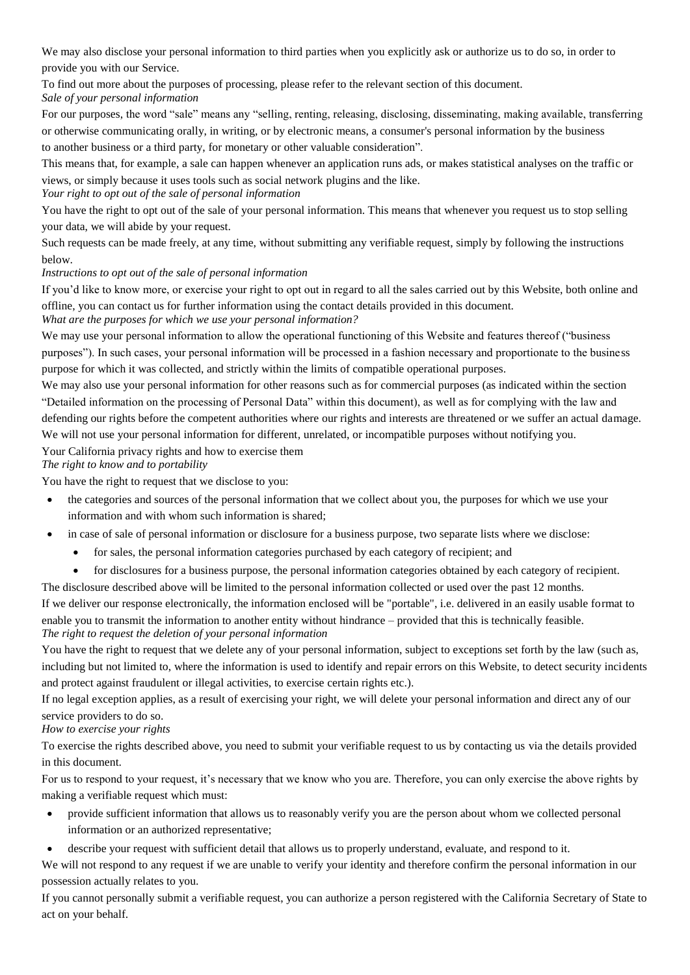We may also disclose your personal information to third parties when you explicitly ask or authorize us to do so, in order to provide you with our Service.

To find out more about the purposes of processing, please refer to the relevant section of this document. *Sale of your personal information*

For our purposes, the word "sale" means any "selling, renting, releasing, disclosing, disseminating, making available, transferring or otherwise communicating orally, in writing, or by electronic means, a consumer's personal information by the business to another business or a third party, for monetary or other valuable consideration".

This means that, for example, a sale can happen whenever an application runs ads, or makes statistical analyses on the traffic or views, or simply because it uses tools such as social network plugins and the like.

#### *Your right to opt out of the sale of personal information*

You have the right to opt out of the sale of your personal information. This means that whenever you request us to stop selling your data, we will abide by your request.

Such requests can be made freely, at any time, without submitting any verifiable request, simply by following the instructions below.

#### *Instructions to opt out of the sale of personal information*

If you'd like to know more, or exercise your right to opt out in regard to all the sales carried out by this Website, both online and offline, you can contact us for further information using the contact details provided in this document.

*What are the purposes for which we use your personal information?*

We may use your personal information to allow the operational functioning of this Website and features thereof ("business purposes"). In such cases, your personal information will be processed in a fashion necessary and proportionate to the business purpose for which it was collected, and strictly within the limits of compatible operational purposes.

We may also use your personal information for other reasons such as for commercial purposes (as indicated within the section "Detailed information on the processing of Personal Data" within this document), as well as for complying with the law and defending our rights before the competent authorities where our rights and interests are threatened or we suffer an actual damage. We will not use your personal information for different, unrelated, or incompatible purposes without notifying you.

Your California privacy rights and how to exercise them

*The right to know and to portability*

You have the right to request that we disclose to you:

- the categories and sources of the personal information that we collect about you, the purposes for which we use your information and with whom such information is shared;
- in case of sale of personal information or disclosure for a business purpose, two separate lists where we disclose:
	- for sales, the personal information categories purchased by each category of recipient; and
	- for disclosures for a business purpose, the personal information categories obtained by each category of recipient.

The disclosure described above will be limited to the personal information collected or used over the past 12 months. If we deliver our response electronically, the information enclosed will be "portable", i.e. delivered in an easily usable format to enable you to transmit the information to another entity without hindrance – provided that this is technically feasible. *The right to request the deletion of your personal information*

You have the right to request that we delete any of your personal information, subject to exceptions set forth by the law (such as, including but not limited to, where the information is used to identify and repair errors on this Website, to detect security incidents and protect against fraudulent or illegal activities, to exercise certain rights etc.).

If no legal exception applies, as a result of exercising your right, we will delete your personal information and direct any of our service providers to do so.

*How to exercise your rights*

To exercise the rights described above, you need to submit your verifiable request to us by contacting us via the details provided in this document.

For us to respond to your request, it's necessary that we know who you are. Therefore, you can only exercise the above rights by making a verifiable request which must:

- provide sufficient information that allows us to reasonably verify you are the person about whom we collected personal information or an authorized representative;
- describe your request with sufficient detail that allows us to properly understand, evaluate, and respond to it.

We will not respond to any request if we are unable to verify your identity and therefore confirm the personal information in our possession actually relates to you.

If you cannot personally submit a verifiable request, you can authorize a person registered with the California Secretary of State to act on your behalf.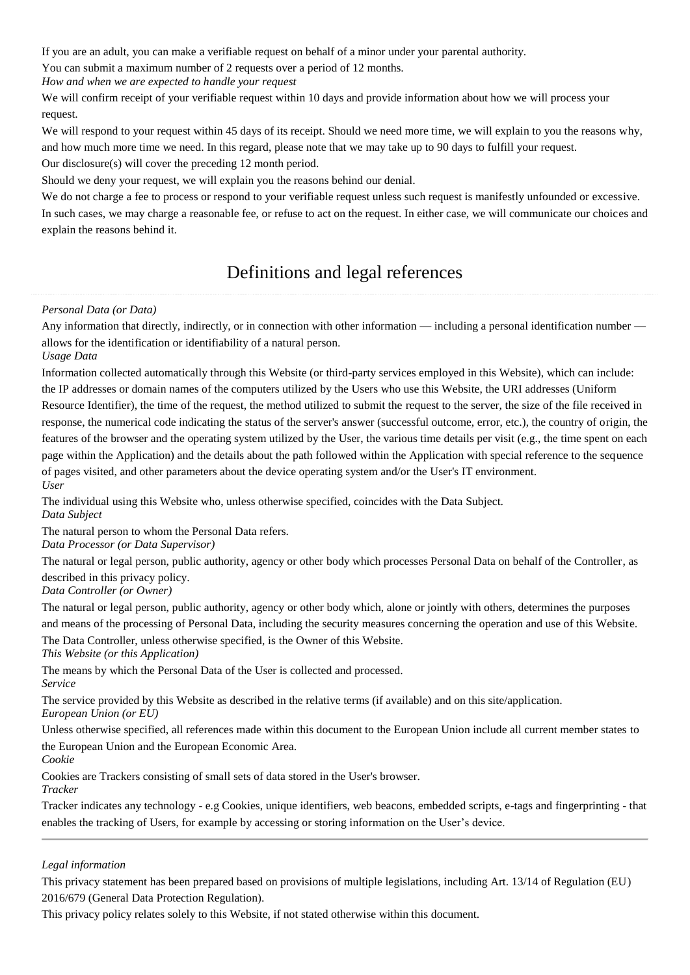If you are an adult, you can make a verifiable request on behalf of a minor under your parental authority.

You can submit a maximum number of 2 requests over a period of 12 months.

*How and when we are expected to handle your request*

We will confirm receipt of your verifiable request within 10 days and provide information about how we will process your request.

We will respond to your request within 45 days of its receipt. Should we need more time, we will explain to you the reasons why, and how much more time we need. In this regard, please note that we may take up to 90 days to fulfill your request. Our disclosure(s) will cover the preceding 12 month period.

Should we deny your request, we will explain you the reasons behind our denial.

We do not charge a fee to process or respond to your verifiable request unless such request is manifestly unfounded or excessive. In such cases, we may charge a reasonable fee, or refuse to act on the request. In either case, we will communicate our choices and explain the reasons behind it.

### Definitions and legal references

#### *Personal Data (or Data)*

Any information that directly, indirectly, or in connection with other information — including a personal identification number allows for the identification or identifiability of a natural person.

*Usage Data*

Information collected automatically through this Website (or third-party services employed in this Website), which can include: the IP addresses or domain names of the computers utilized by the Users who use this Website, the URI addresses (Uniform Resource Identifier), the time of the request, the method utilized to submit the request to the server, the size of the file received in response, the numerical code indicating the status of the server's answer (successful outcome, error, etc.), the country of origin, the features of the browser and the operating system utilized by the User, the various time details per visit (e.g., the time spent on each page within the Application) and the details about the path followed within the Application with special reference to the sequence of pages visited, and other parameters about the device operating system and/or the User's IT environment. *User*

The individual using this Website who, unless otherwise specified, coincides with the Data Subject. *Data Subject*

The natural person to whom the Personal Data refers.

*Data Processor (or Data Supervisor)*

The natural or legal person, public authority, agency or other body which processes Personal Data on behalf of the Controller, as described in this privacy policy.

*Data Controller (or Owner)*

The natural or legal person, public authority, agency or other body which, alone or jointly with others, determines the purposes and means of the processing of Personal Data, including the security measures concerning the operation and use of this Website.

The Data Controller, unless otherwise specified, is the Owner of this Website.

*This Website (or this Application)*

The means by which the Personal Data of the User is collected and processed. *Service*

The service provided by this Website as described in the relative terms (if available) and on this site/application. *European Union (or EU)*

Unless otherwise specified, all references made within this document to the European Union include all current member states to the European Union and the European Economic Area.

*Cookie*

Cookies are Trackers consisting of small sets of data stored in the User's browser. *Tracker*

Tracker indicates any technology - e.g Cookies, unique identifiers, web beacons, embedded scripts, e-tags and fingerprinting - that enables the tracking of Users, for example by accessing or storing information on the User's device.

#### *Legal information*

This privacy statement has been prepared based on provisions of multiple legislations, including Art. 13/14 of Regulation (EU) 2016/679 (General Data Protection Regulation).

This privacy policy relates solely to this Website, if not stated otherwise within this document.